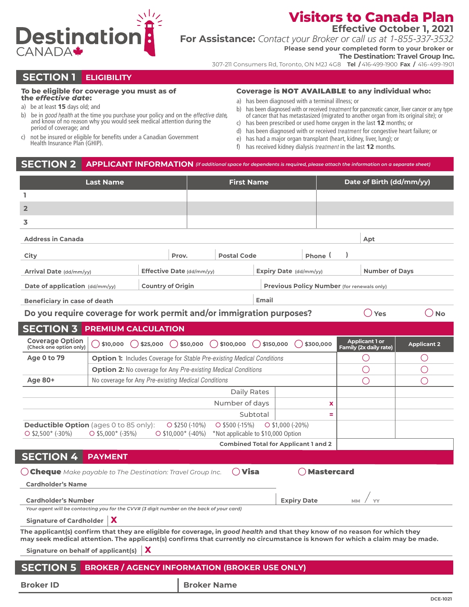

## **Visitors to Canada Plan**

**Effective October 1, 2021**

**For Assistance:** *Contact your Broker or call us at 1-855-337-3532*

**Please send your completed form to your broker or**

**The Destination: Travel Group Inc.**

307-211 Consumers Rd, Toronto, ON M2J 4G8 **Tel /** 416-499-1900 **Fax /** 416-499-1901

### **SECTION 1 ELIGIBILITY**

#### **To be eligible for coverage you must as of**

- **the** *effective date***:** a) be at least **15** days old; and
- b) be in *good health* at the time you purchase your policy and on the *effective date*, and know of no reason why you would seek medical attention during the period of coverage; and
- c) not be insured or eligible for benefits under a Canadian Government Health Insurance Plan (GHIP).

#### **Coverage is** NOT AVAILABLE **to any individual who:**

- a) has been diagnosed with a terminal illness; or
- b) has been diagnosed with or received *treatment* for pancreatic cancer, liver cancer or any type of cancer that has metastasized (migrated to another organ from its original site); or
- c) has been prescribed or used home oxygen in the last 12 months; or
- d) has been diagnosed with or received *treatment* for congestive heart failure; or
- e) has had a major organ transplant (heart, kidney, liver, lung); or
- f) has received kidney dialysis *treatment* in the last 12 months.

#### **SECTION 2 APPLICANT INFORMATION** *(if additional space for dependents is required, please attach the information on a separate sheet)*

| <b>Last Name</b>                                                                                                                                                                                                                                            |                                                                        |                                                                      |                                                     | <b>First Name</b>                                      |           |                    |                   | Date of Birth (dd/mm/yy) |                                                        |                    |        |
|-------------------------------------------------------------------------------------------------------------------------------------------------------------------------------------------------------------------------------------------------------------|------------------------------------------------------------------------|----------------------------------------------------------------------|-----------------------------------------------------|--------------------------------------------------------|-----------|--------------------|-------------------|--------------------------|--------------------------------------------------------|--------------------|--------|
| L                                                                                                                                                                                                                                                           |                                                                        |                                                                      |                                                     |                                                        |           |                    |                   |                          |                                                        |                    |        |
| $\overline{2}$                                                                                                                                                                                                                                              |                                                                        |                                                                      |                                                     |                                                        |           |                    |                   |                          |                                                        |                    |        |
| 3                                                                                                                                                                                                                                                           |                                                                        |                                                                      |                                                     |                                                        |           |                    |                   |                          |                                                        |                    |        |
| <b>Address in Canada</b>                                                                                                                                                                                                                                    |                                                                        |                                                                      |                                                     |                                                        |           |                    |                   |                          | Apt                                                    |                    |        |
| City                                                                                                                                                                                                                                                        |                                                                        |                                                                      | Prov.                                               | <b>Postal Code</b>                                     |           |                    | Phone (           |                          |                                                        |                    |        |
| Arrival Date (dd/mm/yy)                                                                                                                                                                                                                                     |                                                                        |                                                                      |                                                     |                                                        |           |                    |                   |                          | <b>Number of Davs</b>                                  |                    |        |
|                                                                                                                                                                                                                                                             |                                                                        |                                                                      | Effective Date (dd/mm/yy)<br>Expiry Date (dd/mm/yy) |                                                        |           |                    |                   |                          |                                                        |                    |        |
| Date of application (dd/mm/yy)<br><b>Country of Origin</b><br>Previous Policy Number (for renewals only)                                                                                                                                                    |                                                                        |                                                                      |                                                     |                                                        |           |                    |                   |                          |                                                        |                    |        |
| <b>Beneficiary in case of death</b>                                                                                                                                                                                                                         |                                                                        |                                                                      |                                                     |                                                        | Email     |                    |                   |                          |                                                        |                    |        |
| Do you require coverage for work permit and/or immigration purposes?                                                                                                                                                                                        |                                                                        |                                                                      |                                                     |                                                        |           |                    |                   |                          | ky Yes                                                 |                    | ( ) No |
| <b>SECTION 3 PREMIUM CALCULATION</b>                                                                                                                                                                                                                        |                                                                        |                                                                      |                                                     |                                                        |           |                    |                   |                          |                                                        |                    |        |
| <b>Coverage Option</b><br>(Check one option only)                                                                                                                                                                                                           | $()$ \$10,000                                                          | \$25,000                                                             | $( )$ \$50,000                                      | \$100,000<br>(                                         | \$150,000 |                    | \$300,000         |                          | <b>Applicant 1 or</b><br><b>Family (2x daily rate)</b> | <b>Applicant 2</b> |        |
| <b>Age 0 to 79</b>                                                                                                                                                                                                                                          | Option 1: Includes Coverage for Stable Pre-existing Medical Conditions |                                                                      |                                                     |                                                        |           |                    |                   |                          | O                                                      | U                  |        |
|                                                                                                                                                                                                                                                             |                                                                        | <b>Option 2:</b> No coverage for Any Pre-existing Medical Conditions |                                                     |                                                        |           |                    |                   |                          |                                                        |                    |        |
| <b>Age 80+</b>                                                                                                                                                                                                                                              | No coverage for Any Pre-existing Medical Conditions                    |                                                                      |                                                     |                                                        |           |                    |                   |                          |                                                        |                    |        |
|                                                                                                                                                                                                                                                             |                                                                        |                                                                      |                                                     | Daily Rates                                            |           |                    |                   |                          |                                                        |                    |        |
|                                                                                                                                                                                                                                                             |                                                                        |                                                                      |                                                     | Number of days                                         |           |                    | x                 |                          |                                                        |                    |        |
|                                                                                                                                                                                                                                                             |                                                                        |                                                                      |                                                     |                                                        | Subtotal  |                    |                   |                          |                                                        |                    |        |
| <b>Deductible Option</b> (ages 0 to 85 only):<br>$O$ \$2,500* (-30%)                                                                                                                                                                                        | $O$ \$5,000* (-35%)                                                    |                                                                      | $O$ \$250 (-10%)<br>$O$ \$10,000* (-40%)            | $O$ \$500 (-15%)<br>*Not applicable to \$10,000 Option |           | $O$ \$1,000 (-20%) |                   |                          |                                                        |                    |        |
|                                                                                                                                                                                                                                                             |                                                                        |                                                                      |                                                     | <b>Combined Total for Applicant 1 and 2</b>            |           |                    |                   |                          |                                                        |                    |        |
| <b>SECTION 4</b>                                                                                                                                                                                                                                            | <b>PAYMENT</b>                                                         |                                                                      |                                                     |                                                        |           |                    |                   |                          |                                                        |                    |        |
| $\bigcirc$ Cheque Make payable to The Destination: Travel Group Inc.                                                                                                                                                                                        |                                                                        |                                                                      |                                                     | $\bigcirc$ Visa                                        |           |                    | <b>Mastercard</b> |                          |                                                        |                    |        |
| <b>Cardholder's Name</b>                                                                                                                                                                                                                                    |                                                                        |                                                                      |                                                     |                                                        |           |                    |                   |                          |                                                        |                    |        |
| <b>Cardholder's Number</b>                                                                                                                                                                                                                                  |                                                                        |                                                                      |                                                     |                                                        |           | <b>Expiry Date</b> |                   | <b>MM</b>                |                                                        |                    |        |
| Your agent will be contacting you for the CVV# (3 digit number on the back of your card)                                                                                                                                                                    |                                                                        |                                                                      |                                                     |                                                        |           |                    |                   |                          |                                                        |                    |        |
| Signature of Cardholder $\ \boldsymbol{X}\ $                                                                                                                                                                                                                |                                                                        |                                                                      |                                                     |                                                        |           |                    |                   |                          |                                                        |                    |        |
| The applicant(s) confirm that they are eligible for coverage, in good health and that they know of no reason for which they<br>may seek medical attention. The applicant(s) confirms that currently no circumstance is known for which a claim may be made. |                                                                        |                                                                      |                                                     |                                                        |           |                    |                   |                          |                                                        |                    |        |
| X<br><b>Signature on behalf of applicant(s)</b>                                                                                                                                                                                                             |                                                                        |                                                                      |                                                     |                                                        |           |                    |                   |                          |                                                        |                    |        |
| <b>SECTION 5</b>                                                                                                                                                                                                                                            | <b>BROKER / AGENCY INFORMATION (BROKER USE ONLY)</b>                   |                                                                      |                                                     |                                                        |           |                    |                   |                          |                                                        |                    |        |
|                                                                                                                                                                                                                                                             |                                                                        |                                                                      |                                                     |                                                        |           |                    |                   |                          |                                                        |                    |        |
| <b>Broker ID</b>                                                                                                                                                                                                                                            |                                                                        |                                                                      |                                                     | <b>Broker Name</b>                                     |           |                    |                   |                          |                                                        |                    |        |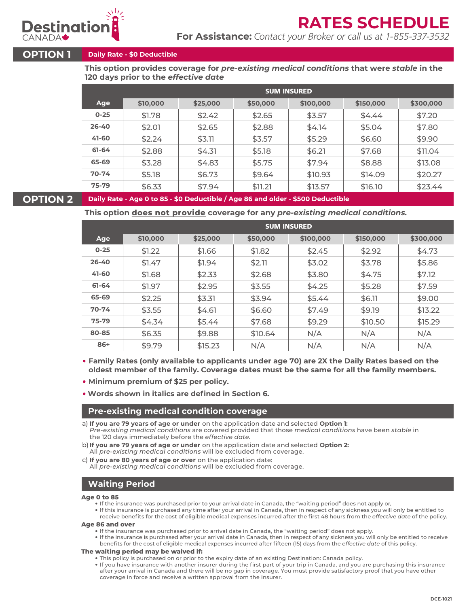

# **RATES SCHEDUL**

**For Assistance:** *Contact your Broker or call us at 1-855-337-3532*

#### **OPTION 1 Daily Rate - \$0 Deductible**

**This option provides coverage for** *pre-existing medical conditions* **that were** *stable* **in the 120 days prior to the** *effective date*

|           | <b>SUM INSURED</b> |          |          |           |           |           |  |  |  |
|-----------|--------------------|----------|----------|-----------|-----------|-----------|--|--|--|
| Age       | \$10,000           | \$25,000 | \$50,000 | \$100,000 | \$150,000 | \$300,000 |  |  |  |
| $0 - 25$  | \$1.78             | \$2.42   | \$2.65   | \$3.57    | \$4.44    | \$7.20    |  |  |  |
| $26 - 40$ | \$2.01             | \$2.65   | \$2.88   | \$4.14    | \$5.04    | \$7.80    |  |  |  |
| 41-60     | \$2.24             | \$3.11   | \$3.57   | \$5.29    | \$6.60    | \$9.90    |  |  |  |
| 61-64     | \$2.88             | \$4.31   | \$5.18   | \$6.21    | \$7.68    | \$11.04   |  |  |  |
| 65-69     | \$3.28             | \$4.83   | \$5.75   | \$7.94    | \$8.88    | \$13.08   |  |  |  |
| $70 - 74$ | \$5.18             | \$6.73   | \$9.64   | \$10.93   | \$14.09   | \$20.27   |  |  |  |
| 75-79     | \$6.33             | \$7.94   | \$11.21  | \$13.57   | \$16.10   | \$23.44   |  |  |  |

#### **OPTION 2 Daily Rate - Age 0 to 85 - \$0 Deductible / Age 86 and older - \$500 Deductible**

**This option does not provide coverage for any** *pre-existing medical conditions.*

|           | <b>SUM INSURED</b> |          |          |           |           |           |  |  |  |
|-----------|--------------------|----------|----------|-----------|-----------|-----------|--|--|--|
| Age       | \$10,000           | \$25,000 | \$50,000 | \$100,000 | \$150,000 | \$300,000 |  |  |  |
| $0 - 25$  | \$1.22             | \$1.66   | \$1.82   | \$2.45    | \$2.92    | \$4.73    |  |  |  |
| $26 - 40$ | \$1.47             | \$1.94   | \$2.11   | \$3.02    | \$3.78    | \$5.86    |  |  |  |
| 41-60     | \$1.68             | \$2.33   | \$2.68   | \$3.80    | \$4.75    | \$7.12    |  |  |  |
| 61-64     | \$1.97             | \$2.95   | \$3.55   | \$4.25    | \$5.28    | \$7.59    |  |  |  |
| 65-69     | \$2.25             | \$3.31   | \$3.94   | \$5.44    | \$6.11    | \$9.00    |  |  |  |
| $70 - 74$ | \$3.55             | \$4.61   | \$6.60   | \$7.49    | \$9.19    | \$13.22   |  |  |  |
| $75 - 79$ | \$4.34             | \$5.44   | \$7.68   | \$9.29    | \$10.50   | \$15.29   |  |  |  |
| 80-85     | \$6.35             | \$9.88   | \$10.64  | N/A       | N/A       | N/A       |  |  |  |
| 86+       | \$9.79             | \$15.23  | N/A      | N/A       | N/A       | N/A       |  |  |  |

**Family Rates (only available to applicants under age 70) are 2X the Daily Rates based on the oldest member of the family. Coverage dates must be the same for all the family members.** 

- **Minimum premium of \$25 per policy.**
- **Words shown in italics are defined in Section 6.**

#### **Pre-existing medical condition coverage**

- a) **If you are 79 years of age or under** on the application date and selected **Option 1:** *Pre-existing medical conditions* are covered provided that those *medical conditions* have been *stable* in the 120 days immediately before the *effective date.*
- b) **If you are 79 years of age or under** on the application date and selected **Option 2:**  All *pre-existing medical conditions* will be excluded from coverage.

c) **If you are 80 years of age or over** on the application date: All *pre-existing medical conditions* will be excluded from coverage.

### **Waiting Period**

#### **Age 0 to 85**

- If the insurance was purchased prior to your arrival date in Canada, the "waiting period" does not apply or,
- If this insurance is purchased any time after your arrival in Canada, then in respect of any sickness you will only be entitled to receive benefits for the cost of eligible medical expenses incurred after the first 48 hours from the *effective date* of the policy.

#### **Age 86 and over**

- If the insurance was purchased prior to arrival date in Canada, the "waiting period" does not apply.
- If the insurance is purchased after your arrival date in Canada, then in respect of any sickness you will only be entitled to receive benefits for the cost of eligible medical expenses incurred after fifteen (15) days from the *effective date* of this policy.

#### **The waiting period may be waived if:**

- This policy is purchased on or prior to the expiry date of an existing Destination: Canada policy.
- If you have insurance with another insurer during the first part of your trip in Canada, and you are purchasing this insurance after your arrival in Canada and there will be no gap in coverage. You must provide satisfactory proof that you have other coverage in force and receive a written approval from the Insurer.